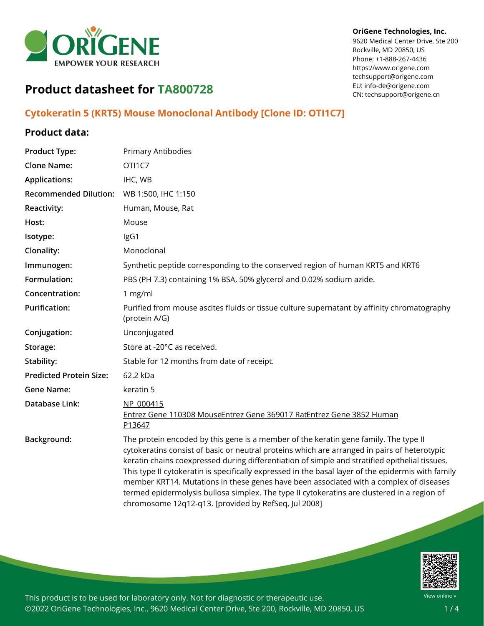

#### **OriGene Technologies, Inc.**

9620 Medical Center Drive, Ste 200 Rockville, MD 20850, US Phone: +1-888-267-4436 https://www.origene.com techsupport@origene.com EU: info-de@origene.com CN: techsupport@origene.cn

# **Product datasheet for TA800728**

### **Cytokeratin 5 (KRT5) Mouse Monoclonal Antibody [Clone ID: OTI1C7]**

#### **Product data:**

| <b>Product Type:</b>           | Primary Antibodies                                                                                                                                                                                                                                                                                                                                                                                                                                                                                                                                                                                                                            |
|--------------------------------|-----------------------------------------------------------------------------------------------------------------------------------------------------------------------------------------------------------------------------------------------------------------------------------------------------------------------------------------------------------------------------------------------------------------------------------------------------------------------------------------------------------------------------------------------------------------------------------------------------------------------------------------------|
| <b>Clone Name:</b>             | OTI1C7                                                                                                                                                                                                                                                                                                                                                                                                                                                                                                                                                                                                                                        |
| <b>Applications:</b>           | IHC, WB                                                                                                                                                                                                                                                                                                                                                                                                                                                                                                                                                                                                                                       |
| <b>Recommended Dilution:</b>   | WB 1:500, IHC 1:150                                                                                                                                                                                                                                                                                                                                                                                                                                                                                                                                                                                                                           |
| <b>Reactivity:</b>             | Human, Mouse, Rat                                                                                                                                                                                                                                                                                                                                                                                                                                                                                                                                                                                                                             |
| Host:                          | Mouse                                                                                                                                                                                                                                                                                                                                                                                                                                                                                                                                                                                                                                         |
| Isotype:                       | IgG1                                                                                                                                                                                                                                                                                                                                                                                                                                                                                                                                                                                                                                          |
| Clonality:                     | Monoclonal                                                                                                                                                                                                                                                                                                                                                                                                                                                                                                                                                                                                                                    |
| Immunogen:                     | Synthetic peptide corresponding to the conserved region of human KRT5 and KRT6                                                                                                                                                                                                                                                                                                                                                                                                                                                                                                                                                                |
| Formulation:                   | PBS (PH 7.3) containing 1% BSA, 50% glycerol and 0.02% sodium azide.                                                                                                                                                                                                                                                                                                                                                                                                                                                                                                                                                                          |
| Concentration:                 | 1 mg/ml                                                                                                                                                                                                                                                                                                                                                                                                                                                                                                                                                                                                                                       |
| <b>Purification:</b>           | Purified from mouse ascites fluids or tissue culture supernatant by affinity chromatography<br>(protein A/G)                                                                                                                                                                                                                                                                                                                                                                                                                                                                                                                                  |
| Conjugation:                   | Unconjugated                                                                                                                                                                                                                                                                                                                                                                                                                                                                                                                                                                                                                                  |
| Storage:                       | Store at -20°C as received.                                                                                                                                                                                                                                                                                                                                                                                                                                                                                                                                                                                                                   |
| Stability:                     | Stable for 12 months from date of receipt.                                                                                                                                                                                                                                                                                                                                                                                                                                                                                                                                                                                                    |
| <b>Predicted Protein Size:</b> | 62.2 kDa                                                                                                                                                                                                                                                                                                                                                                                                                                                                                                                                                                                                                                      |
| <b>Gene Name:</b>              | keratin 5                                                                                                                                                                                                                                                                                                                                                                                                                                                                                                                                                                                                                                     |
| <b>Database Link:</b>          | NP 000415<br>Entrez Gene 110308 MouseEntrez Gene 369017 RatEntrez Gene 3852 Human<br>P13647                                                                                                                                                                                                                                                                                                                                                                                                                                                                                                                                                   |
| Background:                    | The protein encoded by this gene is a member of the keratin gene family. The type II<br>cytokeratins consist of basic or neutral proteins which are arranged in pairs of heterotypic<br>keratin chains coexpressed during differentiation of simple and stratified epithelial tissues.<br>This type II cytokeratin is specifically expressed in the basal layer of the epidermis with family<br>member KRT14. Mutations in these genes have been associated with a complex of diseases<br>termed epidermolysis bullosa simplex. The type II cytokeratins are clustered in a region of<br>chromosome 12q12-q13. [provided by RefSeq, Jul 2008] |

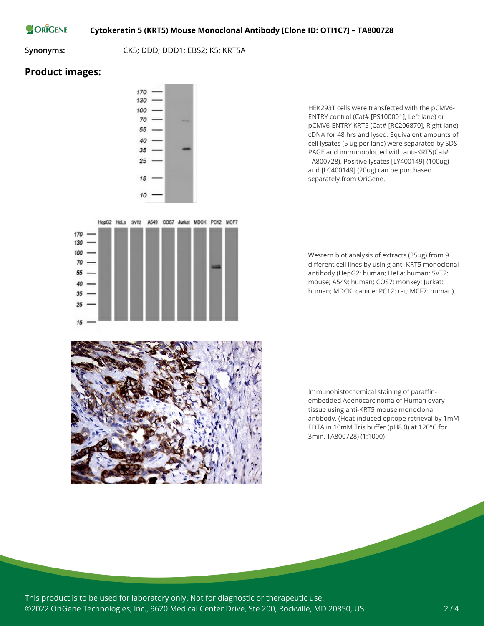ORIGENE

#### **Synonyms:** CK5; DDD; DDD1; EBS2; K5; KRT5A

## **Product images:**

 $15$ 



HepG2 HeLa SVT2 A549 COS7 Jurkat MDCK PC12 MCF7

HEK293T cells were transfected with the pCMV6- ENTRY control (Cat# [PS100001], Left lane) or pCMV6-ENTRY KRT5 (Cat# [RC206870], Right lane) cDNA for 48 hrs and lysed. Equivalent amounts of cell lysates (5 ug per lane) were separated by SDS-PAGE and immunoblotted with anti-KRT5(Cat# TA800728). Positive lysates [LY400149] (100ug) and [LC400149] (20ug) can be purchased separately from OriGene.

Western blot analysis of extracts (35ug) from 9 different cell lines by usin g anti-KRT5 monoclonal antibody (HepG2: human; HeLa: human; SVT2: mouse; A549: human; COS7: monkey; Jurkat: human; MDCK: canine; PC12: rat; MCF7: human).



Immunohistochemical staining of paraffinembedded Adenocarcinoma of Human ovary tissue using anti-KRT5 mouse monoclonal antibody. (Heat-induced epitope retrieval by 1mM EDTA in 10mM Tris buffer (pH8.0) at 120°C for 3min, TA800728) (1:1000)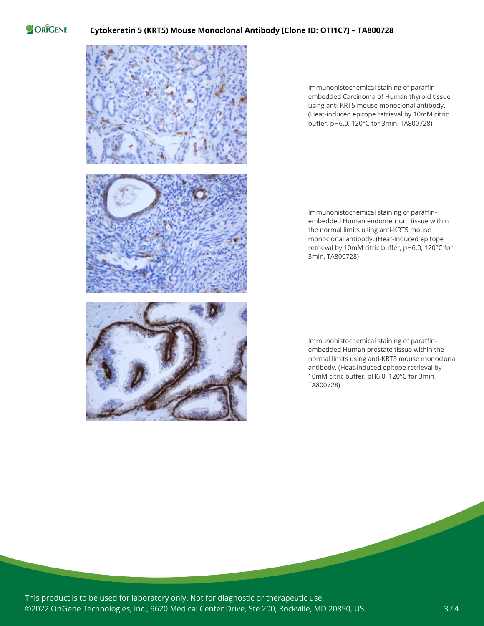ORIGENE



Immunohistochemical staining of paraffinembedded Carcinoma of Human thyroid tissue using anti-KRT5 mouse monoclonal antibody. (Heat-induced epitope retrieval by 10mM citric buffer, pH6.0, 120°C for 3min, TA800728)

Immunohistochemical staining of paraffinembedded Human endometrium tissue within the normal limits using anti-KRT5 mouse monoclonal antibody. (Heat-induced epitope retrieval by 10mM citric buffer, pH6.0, 120°C for 3min, TA800728)

Immunohistochemical staining of paraffinembedded Human prostate tissue within the normal limits using anti-KRT5 mouse monoclonal antibody. (Heat-induced epitope retrieval by 10mM citric buffer, pH6.0, 120°C for 3min, TA800728)